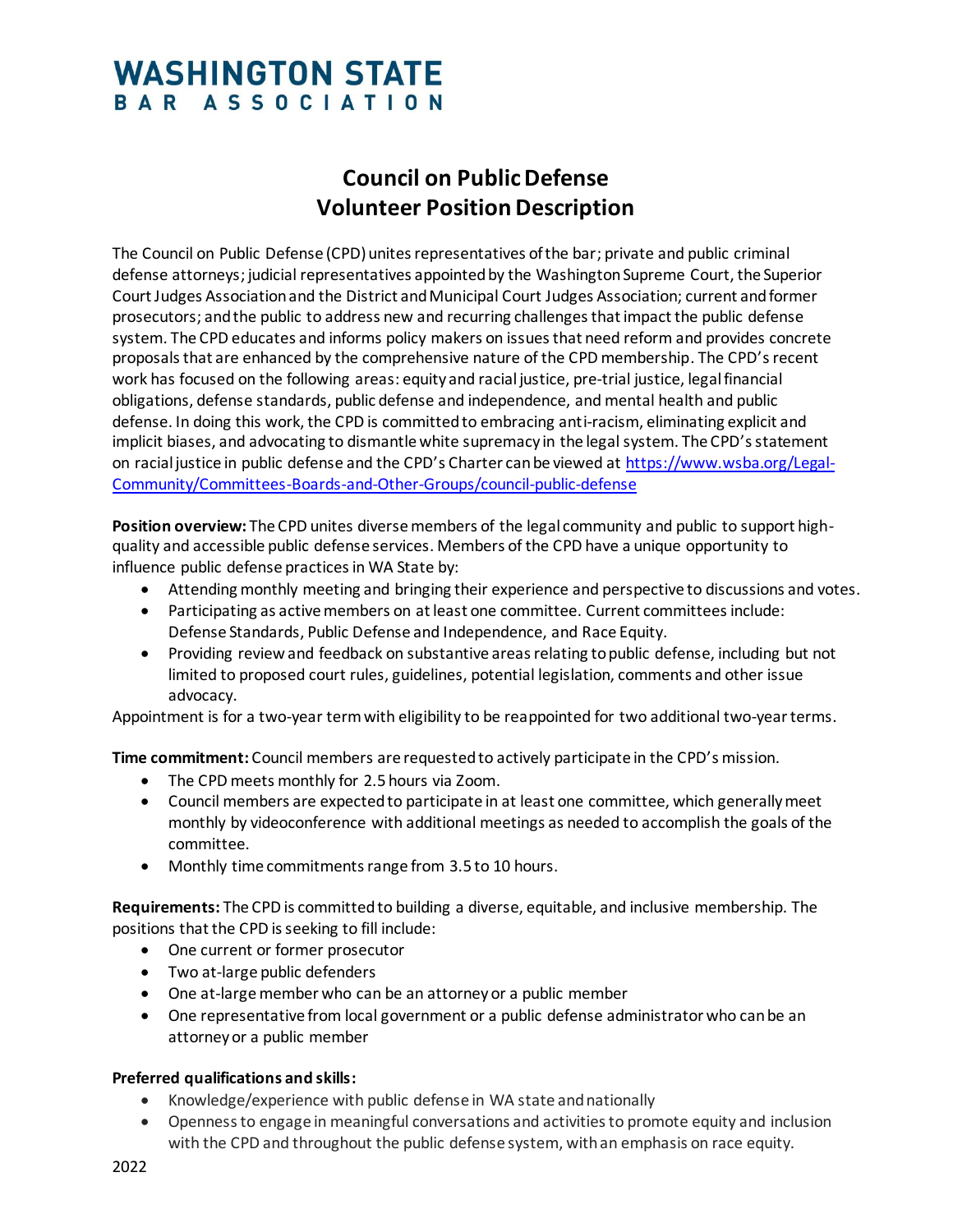## **WASHINGTON STATE** BAR ASSOCIATION

## **Council on Public Defense Volunteer Position Description**

The Council on Public Defense (CPD) unites representatives of the bar; private and public criminal defense attorneys; judicial representatives appointed by the Washington Supreme Court, the Superior Court Judges Association and the District and Municipal Court Judges Association; current and former prosecutors; and the public to address new and recurring challenges that impact the public defense system. The CPD educates and informs policy makers on issues that need reform and provides concrete proposals that are enhanced by the comprehensive nature of the CPD membership. The CPD's recent work has focused on the following areas: equity and racial justice, pre-trial justice, legal financial obligations, defense standards, public defense and independence, and mental health and public defense. In doing this work, the CPD is committed to embracing anti-racism, eliminating explicit and implicit biases, and advocating to dismantle white supremacy in the legal system. The CPD's statement on racial justice in public defense and the CPD's Charter can be viewed at [https://www.wsba.org/Legal-](https://www.wsba.org/Legal-Community/Committees-Boards-and-Other-Groups/council-public-defense)[Community/Committees-Boards-and-Other-Groups/council-public-defense](https://www.wsba.org/Legal-Community/Committees-Boards-and-Other-Groups/council-public-defense)

**Position overview:** The CPD unites diverse members of the legal community and public to support highquality and accessible public defense services. Members of the CPD have a unique opportunity to influence public defense practices in WA State by:

- Attending monthly meeting and bringing their experience and perspective to discussions and votes.
- Participating as active members on at least one committee. Current committees include: Defense Standards, Public Defense and Independence, and Race Equity.
- Providing review and feedback on substantive areas relating to public defense, including but not limited to proposed court rules, guidelines, potential legislation, comments and other issue advocacy.

Appointment is for a two-year term with eligibility to be reappointed for two additional two-year terms.

**Time commitment:** Council members are requested to actively participate in the CPD's mission.

- The CPD meets monthly for 2.5 hours via Zoom.
- Council members are expected to participate in at least one committee, which generally meet monthly by videoconference with additional meetings as needed to accomplish the goals of the committee.
- Monthly time commitments range from 3.5 to 10 hours.

**Requirements:** The CPD is committed to building a diverse, equitable, and inclusive membership. The positions that the CPD is seeking to fill include:

- One current or former prosecutor
- Two at-large public defenders
- One at-large member who can be an attorney or a public member
- One representative from local government or a public defense administrator who can be an attorney or a public member

## **Preferred qualifications and skills:**

- Knowledge/experience with public defense in WA state and nationally
- Openness to engage in meaningful conversations and activities to promote equity and inclusion with the CPD and throughout the public defense system, with an emphasis on race equity.